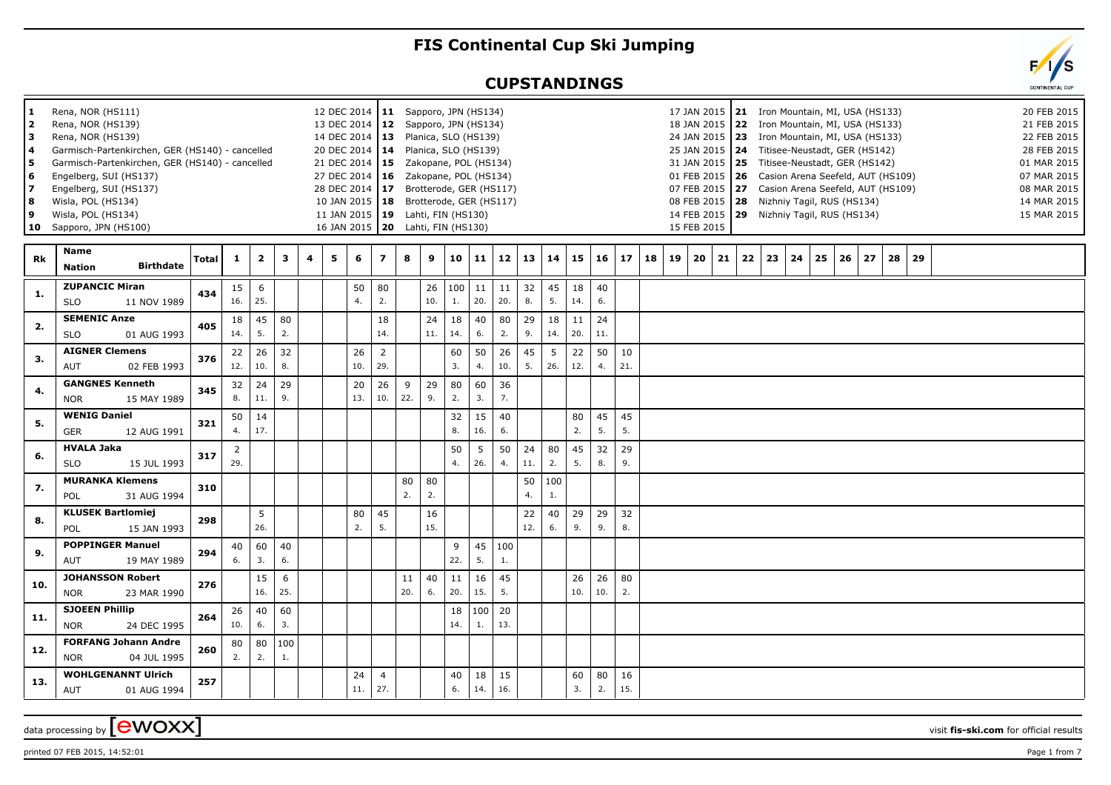## **FIS Continental Cup Ski Jumping**

## **CUPSTANDINGS**



| 1<br>2<br>lз<br>l 4<br>5<br>6<br>17<br>8<br>9<br>10 | Rena, NOR (HS111)<br>Rena, NOR (HS139)<br>Rena, NOR (HS139)<br>Engelberg, SUI (HS137)<br>Engelberg, SUI (HS137)<br>Wisla, POL (HS134)<br>Wisla, POL (HS134)<br>Sapporo, JPN (HS100) | Garmisch-Partenkirchen, GER (HS140) - cancelled<br>Garmisch-Partenkirchen, GER (HS140) - cancelled |              |                       |                         |           |   |   | 12 DEC 2014   11 Sapporo, JPN (HS134)<br>13 DEC 2014   12 Sapporo, JPN (HS134)<br>14 DEC 2014   13 Planica, SLO (HS139)<br>20 DEC 2014   14  Planica, SLO (HS139)<br>21 DEC 2014   15 Zakopane, POL (HS134)<br>27 DEC 2014   16  Zakopane, POL (HS134)<br>28 DEC 2014   17 Brotterode, GER (HS117)<br>10 JAN 2015   18 Brotterode, GER (HS117)<br>11 JAN 2015   19 Lahti, FIN (HS130)<br>16 JAN 2015   20 Lahti, FIN (HS130) |                       |           |           |           |           |           |           |                       |           |           |           |    |    | 14 FEB 2015<br>15 FEB 2015 | 17 JAN 2015   21 Iron Mountain, MI, USA (HS133)<br>18 JAN 2015   22 Iron Mountain, MI, USA (HS133)<br>24 JAN 2015   23 Iron Mountain, MI, USA (HS133)<br>25 JAN 2015   24 Titisee-Neustadt, GER (HS142)<br>31 JAN 2015   25 Titisee-Neustadt, GER (HS142)<br>01 FEB 2015   26 Casion Arena Seefeld, AUT (HS109)<br>07 FEB 2015   27 Casion Arena Seefeld, AUT (HS109)<br>08 FEB 2015   28 Nizhniy Tagil, RUS (HS134) |    |    |    |    | 29 Nizhniy Tagil, RUS (HS134) |    |          |  |  | 20 FEB 2015<br>21 FEB 2015<br>22 FEB 2015<br>28 FEB 2015<br>01 MAR 2015<br>07 MAR 2015<br>08 MAR 2015<br>14 MAR 2015<br>15 MAR 2015 |
|-----------------------------------------------------|-------------------------------------------------------------------------------------------------------------------------------------------------------------------------------------|----------------------------------------------------------------------------------------------------|--------------|-----------------------|-------------------------|-----------|---|---|------------------------------------------------------------------------------------------------------------------------------------------------------------------------------------------------------------------------------------------------------------------------------------------------------------------------------------------------------------------------------------------------------------------------------|-----------------------|-----------|-----------|-----------|-----------|-----------|-----------|-----------------------|-----------|-----------|-----------|----|----|----------------------------|----------------------------------------------------------------------------------------------------------------------------------------------------------------------------------------------------------------------------------------------------------------------------------------------------------------------------------------------------------------------------------------------------------------------|----|----|----|----|-------------------------------|----|----------|--|--|-------------------------------------------------------------------------------------------------------------------------------------|
| Rk                                                  | Name<br><b>Nation</b>                                                                                                                                                               | <b>Birthdate</b>                                                                                   | <b>Total</b> | 1                     | $\overline{\mathbf{2}}$ | 3         | 4 | 5 | 6                                                                                                                                                                                                                                                                                                                                                                                                                            | $\overline{z}$        | 8         | 9         | 10        | 11        | 12        | 13        | 14                    | 15        | 16        | 17        | 18 | 19 | 20                         | 21                                                                                                                                                                                                                                                                                                                                                                                                                   | 22 | 23 | 24 | 25 | 26                            | 27 | 28<br>29 |  |  |                                                                                                                                     |
| 1.                                                  | <b>ZUPANCIC Miran</b><br><b>SLO</b>                                                                                                                                                 | 11 NOV 1989                                                                                        | 434          | 15<br>16.             | 6<br>25.                |           |   |   | 50<br>4.                                                                                                                                                                                                                                                                                                                                                                                                                     | 80<br>2.              |           | 26<br>10. | 100<br>1. | 11<br>20. | 11<br>20. | 32<br>8.  | 45<br>5.              | 18<br>14. | 40<br>6.  |           |    |    |                            |                                                                                                                                                                                                                                                                                                                                                                                                                      |    |    |    |    |                               |    |          |  |  |                                                                                                                                     |
| 2.                                                  | <b>SEMENIC Anze</b><br><b>SLO</b>                                                                                                                                                   | 01 AUG 1993                                                                                        | 405          | 18<br>14.             | 45<br>5.                | 80<br>2.  |   |   |                                                                                                                                                                                                                                                                                                                                                                                                                              | 18<br>14.             |           | 24<br>11. | 18<br>14. | 40<br>6.  | 80<br>2.  | 29<br>9.  | 18<br>14.             | 11<br>20. | 24<br>11. |           |    |    |                            |                                                                                                                                                                                                                                                                                                                                                                                                                      |    |    |    |    |                               |    |          |  |  |                                                                                                                                     |
| 3.                                                  | <b>AIGNER Clemens</b><br><b>AUT</b>                                                                                                                                                 | 02 FEB 1993                                                                                        | 376          | 22<br>12.             | 26<br>10.               | 32<br>8.  |   |   | 26<br>10.                                                                                                                                                                                                                                                                                                                                                                                                                    | $\overline{2}$<br>29. |           |           | 60<br>3.  | 50<br>4.  | 26<br>10. | 45<br>5.  | 5<br>26.              | 22<br>12. | 50<br>4.  | 10<br>21. |    |    |                            |                                                                                                                                                                                                                                                                                                                                                                                                                      |    |    |    |    |                               |    |          |  |  |                                                                                                                                     |
| 4.                                                  | <b>NOR</b>                                                                                                                                                                          | <b>GANGNES Kenneth</b><br>15 MAY 1989                                                              | 345          | 32<br>8.              | 24<br>11.               | 29<br>9.  |   |   | 20<br>13.                                                                                                                                                                                                                                                                                                                                                                                                                    | 26<br>10.             | 9<br>22.  | 29<br>9.  | 80<br>2.  | 60<br>3.  | 36<br>7.  |           |                       |           |           |           |    |    |                            |                                                                                                                                                                                                                                                                                                                                                                                                                      |    |    |    |    |                               |    |          |  |  |                                                                                                                                     |
| 5.                                                  | <b>WENIG Daniel</b><br><b>GER</b>                                                                                                                                                   | 12 AUG 1991                                                                                        | 321          | 50<br>4.              | 14<br>17.               |           |   |   |                                                                                                                                                                                                                                                                                                                                                                                                                              |                       |           |           | 32<br>8.  | 15<br>16. | 40<br>6.  |           |                       | 80<br>2.  | 45<br>5.  | 45<br>5.  |    |    |                            |                                                                                                                                                                                                                                                                                                                                                                                                                      |    |    |    |    |                               |    |          |  |  |                                                                                                                                     |
| 6.                                                  | <b>HVALA Jaka</b><br><b>SLO</b>                                                                                                                                                     | 15 JUL 1993                                                                                        | 317          | $\overline{2}$<br>29. |                         |           |   |   |                                                                                                                                                                                                                                                                                                                                                                                                                              |                       |           |           | 50<br>4.  | 5<br>26.  | 50<br>4.  | 24<br>11. | 80<br>2.              | 45<br>5.  | 32<br>8.  | 29<br>9.  |    |    |                            |                                                                                                                                                                                                                                                                                                                                                                                                                      |    |    |    |    |                               |    |          |  |  |                                                                                                                                     |
| 7.                                                  | POL                                                                                                                                                                                 | <b>MURANKA Klemens</b><br>31 AUG 1994                                                              | 310          |                       |                         |           |   |   |                                                                                                                                                                                                                                                                                                                                                                                                                              |                       | 80<br>2.  | 80<br>2.  |           |           |           | 50<br>4.  | 100<br>$\mathbf{1}$ . |           |           |           |    |    |                            |                                                                                                                                                                                                                                                                                                                                                                                                                      |    |    |    |    |                               |    |          |  |  |                                                                                                                                     |
| 8.                                                  | POL                                                                                                                                                                                 | <b>KLUSEK Bartlomiej</b><br>15 JAN 1993                                                            | 298          |                       | 5<br>26.                |           |   |   | 80<br>2.                                                                                                                                                                                                                                                                                                                                                                                                                     | 45<br>5.              |           | 16<br>15. |           |           |           | 22<br>12. | 40<br>6.              | 29<br>9.  | 29<br>9.  | 32<br>8.  |    |    |                            |                                                                                                                                                                                                                                                                                                                                                                                                                      |    |    |    |    |                               |    |          |  |  |                                                                                                                                     |
| 9.                                                  | <b>AUT</b>                                                                                                                                                                          | <b>POPPINGER Manuel</b><br>19 MAY 1989                                                             | 294          | 40<br>6.              | 60<br>3.                | 40<br>6.  |   |   |                                                                                                                                                                                                                                                                                                                                                                                                                              |                       |           |           | 9<br>22.  | 45<br>5.  | 100<br>1. |           |                       |           |           |           |    |    |                            |                                                                                                                                                                                                                                                                                                                                                                                                                      |    |    |    |    |                               |    |          |  |  |                                                                                                                                     |
| 10.                                                 | <b>NOR</b>                                                                                                                                                                          | <b>JOHANSSON Robert</b><br>23 MAR 1990                                                             | 276          |                       | 15<br>16.               | 6<br>25.  |   |   |                                                                                                                                                                                                                                                                                                                                                                                                                              |                       | 11<br>20. | 40<br>6.  | 11<br>20. | 16<br>15. | 45<br>5.  |           |                       | 26<br>10. | 26<br>10. | 80<br>2.  |    |    |                            |                                                                                                                                                                                                                                                                                                                                                                                                                      |    |    |    |    |                               |    |          |  |  |                                                                                                                                     |
| 11.                                                 | <b>SJOEEN Phillip</b><br><b>NOR</b>                                                                                                                                                 | 24 DEC 1995                                                                                        | 264          | 26<br>10.             | 40<br>6.                | 60<br>3.  |   |   |                                                                                                                                                                                                                                                                                                                                                                                                                              |                       |           |           | 18<br>14. | 100<br>1. | 20<br>13. |           |                       |           |           |           |    |    |                            |                                                                                                                                                                                                                                                                                                                                                                                                                      |    |    |    |    |                               |    |          |  |  |                                                                                                                                     |
| 12.                                                 | <b>NOR</b>                                                                                                                                                                          | <b>FORFANG Johann Andre</b><br>04 JUL 1995                                                         | 260          | 80<br>2.              | 80<br>2.                | 100<br>1. |   |   |                                                                                                                                                                                                                                                                                                                                                                                                                              |                       |           |           |           |           |           |           |                       |           |           |           |    |    |                            |                                                                                                                                                                                                                                                                                                                                                                                                                      |    |    |    |    |                               |    |          |  |  |                                                                                                                                     |
| 13.                                                 | <b>AUT</b>                                                                                                                                                                          | <b>WOHLGENANNT Ulrich</b><br>01 AUG 1994                                                           | 257          |                       |                         |           |   |   | 24<br>11.                                                                                                                                                                                                                                                                                                                                                                                                                    | $\overline{4}$<br>27. |           |           | 40<br>6.  | 18<br>14. | 15<br>16. |           |                       | 60<br>3.  | 80<br>2.  | 16<br>15. |    |    |                            |                                                                                                                                                                                                                                                                                                                                                                                                                      |    |    |    |    |                               |    |          |  |  |                                                                                                                                     |

data processing by **CWOXX** wisit **fis-ski.com** for official results

printed 07 FEB 2015, 14:52:01  $\rho$  Page 1 from 7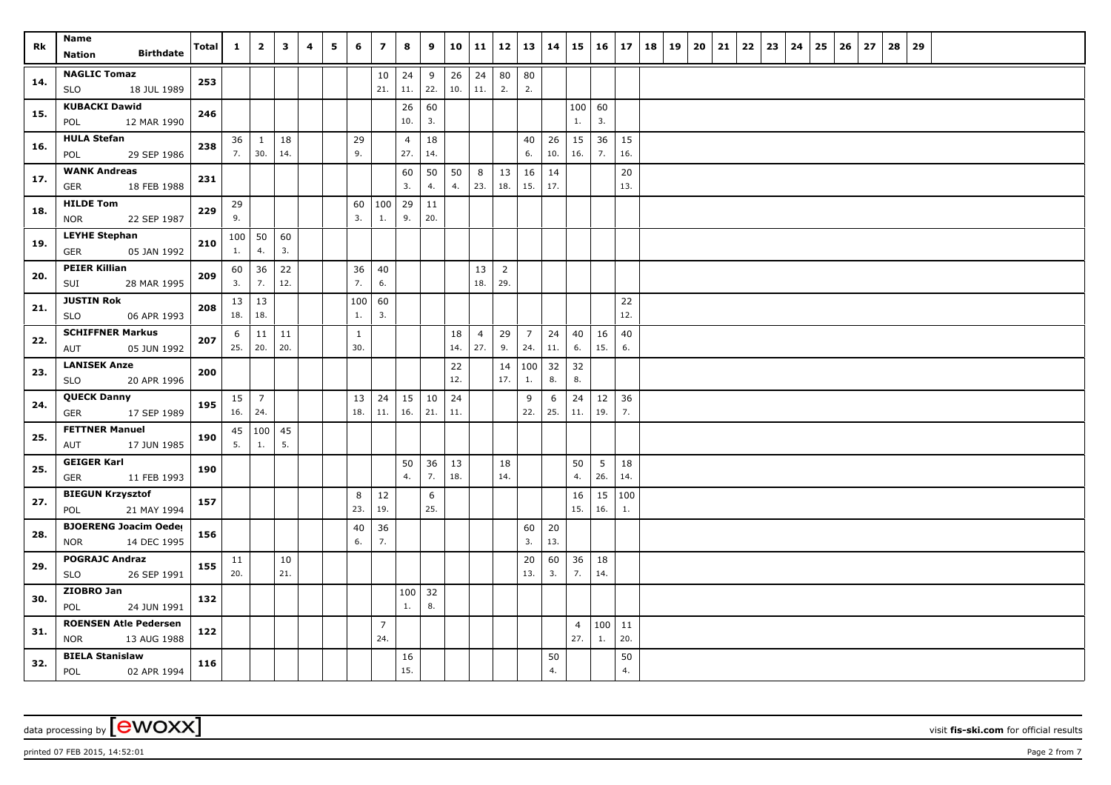| Rk  | Name<br><b>Birthdate</b><br>Nation                        | Total | $\mathbf{1}$             | $\overline{2}$ | 3         | 4 | 5 | 6                   | $\overline{z}$        | 8                     | 9         | 10        | 11                    | 12                    | <b>13</b>             | 14        |                       | $15 \mid 16 \mid$      | 17        | 18 | 19 | 20 | 21 | 22 | 23 | 24 | 25 | 26 | 27 | 28 | 29 |  |  |  |
|-----|-----------------------------------------------------------|-------|--------------------------|----------------|-----------|---|---|---------------------|-----------------------|-----------------------|-----------|-----------|-----------------------|-----------------------|-----------------------|-----------|-----------------------|------------------------|-----------|----|----|----|----|----|----|----|----|----|----|----|----|--|--|--|
| 14. | <b>NAGLIC Tomaz</b><br>18 JUL 1989<br>SLO                 | 253   |                          |                |           |   |   |                     | $10\,$<br>21.         | 24<br>11.             | 9<br>22.  | 26<br>10. | 24<br>11.             | 80<br>2.              | 80<br>2.              |           |                       |                        |           |    |    |    |    |    |    |    |    |    |    |    |    |  |  |  |
| 15. | <b>KUBACKI Dawid</b><br>POL<br>12 MAR 1990                | 246   |                          |                |           |   |   |                     |                       | 26<br>10.             | 60<br>3.  |           |                       |                       |                       |           | 100   60<br>1.        | 3.                     |           |    |    |    |    |    |    |    |    |    |    |    |    |  |  |  |
| 16. | <b>HULA Stefan</b><br>29 SEP 1986<br>POL                  | 238   | $36 \mid 1$<br>7.        | 30.            | 18<br>14. |   |   | 29<br>9.            |                       | $\overline{4}$<br>27. | 18<br>14. |           |                       |                       | 40<br>6.              | 26<br>10. | 15<br>16.             | 36<br>7.               | 15<br>16. |    |    |    |    |    |    |    |    |    |    |    |    |  |  |  |
| 17. | <b>WANK Andreas</b><br>18 FEB 1988<br><b>GER</b>          | 231   |                          |                |           |   |   |                     |                       | 60<br>3.              | 50<br>4.  | 50<br>4.  | 8<br>23.              | 13<br>18.             | 16<br>15.             | 14<br>17. |                       |                        | 20<br>13. |    |    |    |    |    |    |    |    |    |    |    |    |  |  |  |
| 18. | <b>HILDE Tom</b><br>22 SEP 1987<br><b>NOR</b>             | 229   | 29<br>9.                 |                |           |   |   | 60<br>3.            | 100<br>1.             | $29$ 11<br>9.         | 20.       |           |                       |                       |                       |           |                       |                        |           |    |    |    |    |    |    |    |    |    |    |    |    |  |  |  |
| 19. | <b>LEYHE Stephan</b><br>05 JAN 1992<br><b>GER</b>         | 210   | $100$ 50<br>1.           | 4.             | 60<br>3.  |   |   |                     |                       |                       |           |           |                       |                       |                       |           |                       |                        |           |    |    |    |    |    |    |    |    |    |    |    |    |  |  |  |
| 20. | <b>PEIER Killian</b><br>28 MAR 1995<br>SUI                | 209   | 60<br>3.                 | 36<br>7.       | 22<br>12. |   |   | 36<br>7.            | 40<br>6.              |                       |           |           | 13<br>18.             | $\overline{2}$<br>29. |                       |           |                       |                        |           |    |    |    |    |    |    |    |    |    |    |    |    |  |  |  |
| 21. | <b>JUSTIN Rok</b><br>06 APR 1993<br>SLO                   | 208   | $13 \mid 13$<br>18.      | 18.            |           |   |   | 100<br>1.           | 60<br>3.              |                       |           |           |                       |                       |                       |           |                       |                        | 22<br>12. |    |    |    |    |    |    |    |    |    |    |    |    |  |  |  |
| 22. | <b>SCHIFFNER Markus</b><br>05 JUN 1992<br>AUT             | 207   | 6<br>$25.$ 20.           | $\vert$ 11     | 11<br>20. |   |   | $\mathbf{1}$<br>30. |                       |                       |           | 18<br>14. | $\overline{4}$<br>27. | 29<br>9.              | $\overline{7}$<br>24. | 24<br>11. | 40<br>6.              | 16<br>15.              | 40<br>6.  |    |    |    |    |    |    |    |    |    |    |    |    |  |  |  |
| 23. | <b>LANISEK Anze</b><br><b>SLO</b><br>20 APR 1996          | 200   |                          |                |           |   |   |                     |                       |                       |           | 22<br>12. |                       | 14<br>17.             | 100<br>1.             | 32<br>8.  | 32<br>8.              |                        |           |    |    |    |    |    |    |    |    |    |    |    |    |  |  |  |
| 24. | <b>QUECK Danny</b><br>17 SEP 1989<br><b>GER</b>           | 195   | $15 \mid 7$<br>16.   24. |                |           |   |   | 13<br>18.           | 24<br>11.             | $15 \mid 10$<br>16.   | 21.       | 24<br>11. |                       |                       | 9<br>22.              | 6<br>25.  | 24<br>11.             | 12<br>19.              | 36<br>7.  |    |    |    |    |    |    |    |    |    |    |    |    |  |  |  |
| 25. | <b>FETTNER Manuel</b><br>17 JUN 1985<br>AUT               | 190   | 5.                       | 45 100<br>1.   | 45<br>5.  |   |   |                     |                       |                       |           |           |                       |                       |                       |           |                       |                        |           |    |    |    |    |    |    |    |    |    |    |    |    |  |  |  |
| 25. | <b>GEIGER Karl</b><br><b>GER</b><br>11 FEB 1993           | 190   |                          |                |           |   |   |                     |                       | 50<br>4.              | 36<br>7.  | 13<br>18. |                       | 18<br>14.             |                       |           | 50<br>4.              | $5\phantom{.0}$<br>26. | 18<br>14. |    |    |    |    |    |    |    |    |    |    |    |    |  |  |  |
| 27. | <b>BIEGUN Krzysztof</b><br>21 MAY 1994<br>POL             | 157   |                          |                |           |   |   | 8<br>23.            | 12<br>19.             |                       | 6<br>25.  |           |                       |                       |                       |           | 16<br>15.             | 15<br>16.              | 100<br>1. |    |    |    |    |    |    |    |    |    |    |    |    |  |  |  |
| 28. | <b>BJOERENG Joacim Oeder</b><br>14 DEC 1995<br>NOR        | 156   |                          |                |           |   |   | 40<br>6.            | 36<br>7.              |                       |           |           |                       |                       | 60<br>3.              | 20<br>13. |                       |                        |           |    |    |    |    |    |    |    |    |    |    |    |    |  |  |  |
| 29. | <b>POGRAJC Andraz</b><br><b>SLO</b><br>26 SEP 1991        | 155   | 11<br>20.                |                | 10<br>21. |   |   |                     |                       |                       |           |           |                       |                       | 20<br>13.             | 60<br>3.  | 36<br>7.              | 18<br>14.              |           |    |    |    |    |    |    |    |    |    |    |    |    |  |  |  |
| 30. | ZIOBRO Jan<br>POL<br>24 JUN 1991                          | 132   |                          |                |           |   |   |                     |                       | $100$ 32<br>1.        | 8.        |           |                       |                       |                       |           |                       |                        |           |    |    |    |    |    |    |    |    |    |    |    |    |  |  |  |
| 31. | <b>ROENSEN Atle Pedersen</b><br><b>NOR</b><br>13 AUG 1988 | 122   |                          |                |           |   |   |                     | $\overline{7}$<br>24. |                       |           |           |                       |                       |                       |           | $\overline{4}$<br>27. | 100 11<br>1.           | 20.       |    |    |    |    |    |    |    |    |    |    |    |    |  |  |  |
| 32. | <b>BIELA Stanislaw</b><br>POL<br>02 APR 1994              | 116   |                          |                |           |   |   |                     |                       | 16<br>15.             |           |           |                       |                       |                       | 50<br>4.  |                       |                        | 50<br>4.  |    |    |    |    |    |    |    |    |    |    |    |    |  |  |  |

printed 07 FEB 2015, 14:52:01 **Page 2** from 7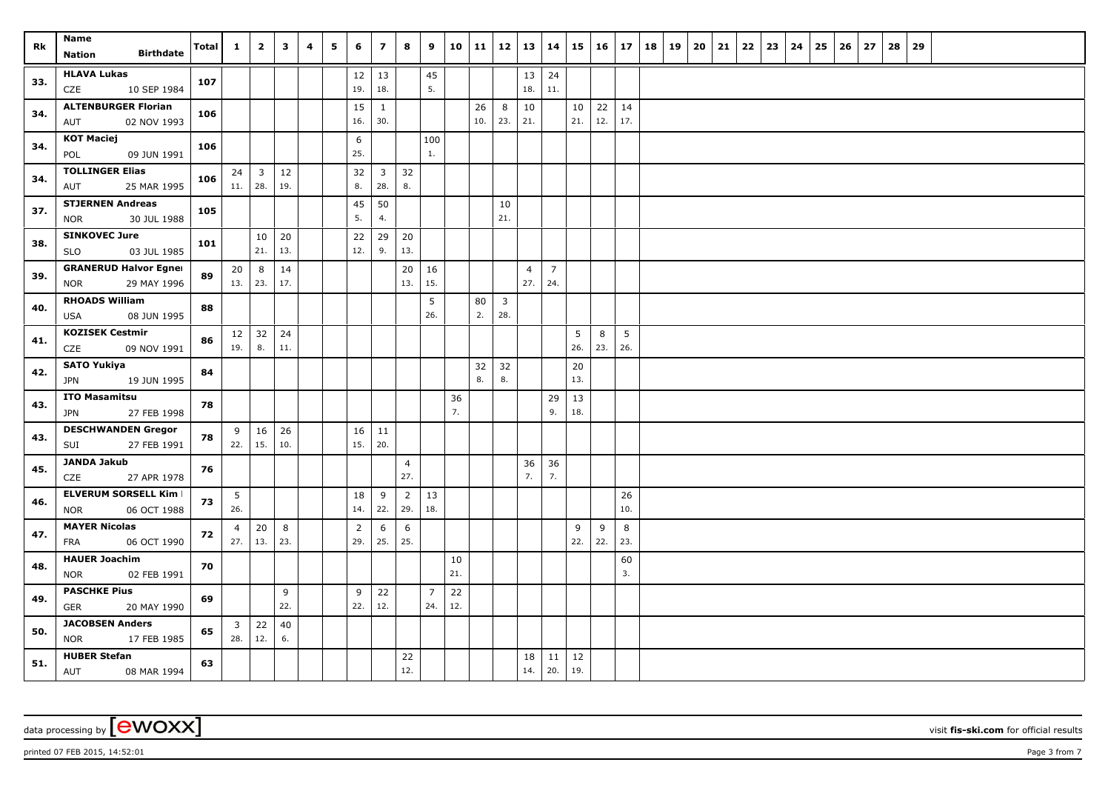| Rk  | Name                                              | <b>Total</b> | $\mathbf{1}$                | $\overline{2}$          | $\mathbf{3}$ | 4 | 5 | 6              | $\overline{z}$      | 8              | 9              | 10        | 11        | 12                      | 13             | 14             |           | $15 \mid 16 \mid$ | 17        | 18 | 19 | 20 | 21 | 22 | 23 | 24 | 25 | 26 | 27 | 28 | 29 |  |  |  |
|-----|---------------------------------------------------|--------------|-----------------------------|-------------------------|--------------|---|---|----------------|---------------------|----------------|----------------|-----------|-----------|-------------------------|----------------|----------------|-----------|-------------------|-----------|----|----|----|----|----|----|----|----|----|----|----|----|--|--|--|
|     | <b>Birthdate</b><br>Nation                        |              |                             |                         |              |   |   |                |                     |                |                |           |           |                         |                |                |           |                   |           |    |    |    |    |    |    |    |    |    |    |    |    |  |  |  |
| 33. | <b>HLAVA Lukas</b>                                | 107          |                             |                         |              |   |   | 12             | 13                  |                | 45             |           |           |                         | 13             | 24             |           |                   |           |    |    |    |    |    |    |    |    |    |    |    |    |  |  |  |
|     | 10 SEP 1984<br>CZE                                |              |                             |                         |              |   |   | 19.            | 18.                 |                | 5.             |           |           |                         | 18.            | 11.            |           |                   |           |    |    |    |    |    |    |    |    |    |    |    |    |  |  |  |
| 34. | <b>ALTENBURGER Florian</b><br>02 NOV 1993<br>AUT  | 106          |                             |                         |              |   |   | 15<br>16.      | $\mathbf{1}$<br>30. |                |                |           | 26<br>10. | 8<br>23.                | 10<br>21.      |                | 10<br>21. | 22<br>12.         | 14<br>17. |    |    |    |    |    |    |    |    |    |    |    |    |  |  |  |
|     | <b>KOT Maciej</b>                                 |              |                             |                         |              |   |   | 6              |                     |                | 100            |           |           |                         |                |                |           |                   |           |    |    |    |    |    |    |    |    |    |    |    |    |  |  |  |
| 34. | POL<br>09 JUN 1991                                | 106          |                             |                         |              |   |   | 25.            |                     |                | 1.             |           |           |                         |                |                |           |                   |           |    |    |    |    |    |    |    |    |    |    |    |    |  |  |  |
| 34. | <b>TOLLINGER Elias</b>                            | 106          | 24                          | $\overline{\mathbf{3}}$ | 12           |   |   | 32             | $\mathbf{3}$        | 32             |                |           |           |                         |                |                |           |                   |           |    |    |    |    |    |    |    |    |    |    |    |    |  |  |  |
|     | 25 MAR 1995<br>AUT                                |              | 11.   28.                   |                         | 19.          |   |   | 8.             | 28.                 | 8.             |                |           |           |                         |                |                |           |                   |           |    |    |    |    |    |    |    |    |    |    |    |    |  |  |  |
| 37. | <b>STJERNEN Andreas</b>                           | 105          |                             |                         |              |   |   | 45             | 50                  |                |                |           |           | 10                      |                |                |           |                   |           |    |    |    |    |    |    |    |    |    |    |    |    |  |  |  |
|     | 30 JUL 1988<br><b>NOR</b>                         |              |                             |                         |              |   |   | 5.             | 4.                  |                |                |           |           | 21.                     |                |                |           |                   |           |    |    |    |    |    |    |    |    |    |    |    |    |  |  |  |
| 38. | <b>SINKOVEC Jure</b><br>03 JUL 1985<br><b>SLO</b> | 101          |                             | 10<br>21.               | 20<br>13.    |   |   | 22<br>12.      | 29<br>9.            | 20<br>13.      |                |           |           |                         |                |                |           |                   |           |    |    |    |    |    |    |    |    |    |    |    |    |  |  |  |
|     | <b>GRANERUD Halvor Egner</b>                      |              | 20                          | 8                       | 14           |   |   |                |                     | 20             | 16             |           |           |                         | $\overline{4}$ | $\overline{7}$ |           |                   |           |    |    |    |    |    |    |    |    |    |    |    |    |  |  |  |
| 39. | 29 MAY 1996<br><b>NOR</b>                         | 89           | 13.   23.                   |                         | 17.          |   |   |                |                     | 13.            | 15.            |           |           |                         | 27.            | 24.            |           |                   |           |    |    |    |    |    |    |    |    |    |    |    |    |  |  |  |
|     | <b>RHOADS William</b>                             |              |                             |                         |              |   |   |                |                     |                | 5              |           | 80        | $\overline{\mathbf{3}}$ |                |                |           |                   |           |    |    |    |    |    |    |    |    |    |    |    |    |  |  |  |
| 40. | USA<br>08 JUN 1995                                | 88           |                             |                         |              |   |   |                |                     |                | 26.            |           | 2.        | 28.                     |                |                |           |                   |           |    |    |    |    |    |    |    |    |    |    |    |    |  |  |  |
| 41. | <b>KOZISEK Cestmir</b>                            | 86           |                             | $12 \mid 32$            | 24           |   |   |                |                     |                |                |           |           |                         |                |                | 5         | 8                 | 5         |    |    |    |    |    |    |    |    |    |    |    |    |  |  |  |
|     | CZE<br>09 NOV 1991                                |              | 19.                         | 8.                      | 11.          |   |   |                |                     |                |                |           |           |                         |                |                | 26.       | 23.               | 26.       |    |    |    |    |    |    |    |    |    |    |    |    |  |  |  |
| 42. | <b>SATO Yukiya</b>                                | 84           |                             |                         |              |   |   |                |                     |                |                |           | 32        | 32                      |                |                | 20        |                   |           |    |    |    |    |    |    |    |    |    |    |    |    |  |  |  |
|     | 19 JUN 1995<br>JPN                                |              |                             |                         |              |   |   |                |                     |                |                |           | 8.        | 8.                      |                |                | 13.       |                   |           |    |    |    |    |    |    |    |    |    |    |    |    |  |  |  |
| 43. | <b>ITO Masamitsu</b><br>27 FEB 1998<br>JPN        | 78           |                             |                         |              |   |   |                |                     |                |                | 36<br>7.  |           |                         |                | 29<br>9.       | 13<br>18. |                   |           |    |    |    |    |    |    |    |    |    |    |    |    |  |  |  |
|     | <b>DESCHWANDEN Gregor</b>                         |              |                             | $9 \mid 16$             | 26           |   |   | 16             | 11                  |                |                |           |           |                         |                |                |           |                   |           |    |    |    |    |    |    |    |    |    |    |    |    |  |  |  |
| 43. | SUI<br>27 FEB 1991                                | 78           | 22.                         | 15.                     | 10.          |   |   | 15.            | 20.                 |                |                |           |           |                         |                |                |           |                   |           |    |    |    |    |    |    |    |    |    |    |    |    |  |  |  |
|     | <b>JANDA Jakub</b>                                |              |                             |                         |              |   |   |                |                     | $\overline{4}$ |                |           |           |                         | 36             | 36             |           |                   |           |    |    |    |    |    |    |    |    |    |    |    |    |  |  |  |
| 45. | 27 APR 1978<br>CZE                                | 76           |                             |                         |              |   |   |                |                     | 27.            |                |           |           |                         | 7.             | 7.             |           |                   |           |    |    |    |    |    |    |    |    |    |    |    |    |  |  |  |
| 46. | <b>ELVERUM SORSELL Kim I</b>                      | 73           | 5                           |                         |              |   |   | 18             | 9                   | $\overline{2}$ | 13             |           |           |                         |                |                |           |                   | 26        |    |    |    |    |    |    |    |    |    |    |    |    |  |  |  |
|     | 06 OCT 1988<br><b>NOR</b>                         |              | 26.                         |                         |              |   |   | 14.            | 22.                 | 29.            | 18.            |           |           |                         |                |                |           |                   | 10.       |    |    |    |    |    |    |    |    |    |    |    |    |  |  |  |
| 47. | <b>MAYER Nicolas</b>                              | 72           | $\overline{4}$<br>$27.$ 13. | 20                      | 8            |   |   | $\overline{2}$ | 6                   | 6              |                |           |           |                         |                |                | 9         | 9                 | 8<br>23.  |    |    |    |    |    |    |    |    |    |    |    |    |  |  |  |
|     | <b>FRA</b><br>06 OCT 1990                         |              |                             |                         | 23.          |   |   | 29.            | 25.                 | 25.            |                |           |           |                         |                |                | 22.       | 22.               |           |    |    |    |    |    |    |    |    |    |    |    |    |  |  |  |
| 48. | <b>HAUER Joachim</b><br>02 FEB 1991<br><b>NOR</b> | 70           |                             |                         |              |   |   |                |                     |                |                | 10<br>21. |           |                         |                |                |           |                   | 60<br>3.  |    |    |    |    |    |    |    |    |    |    |    |    |  |  |  |
|     | <b>PASCHKE Pius</b>                               |              |                             |                         | 9            |   |   | 9              | 22                  |                | $\overline{7}$ | 22        |           |                         |                |                |           |                   |           |    |    |    |    |    |    |    |    |    |    |    |    |  |  |  |
| 49. | <b>GER</b><br>20 MAY 1990                         | 69           |                             |                         | 22.          |   |   | 22.            | 12.                 |                | 24.            | 12.       |           |                         |                |                |           |                   |           |    |    |    |    |    |    |    |    |    |    |    |    |  |  |  |
| 50. | <b>JACOBSEN Anders</b>                            | 65           | $\mathbf{3}$                | 22                      | 40           |   |   |                |                     |                |                |           |           |                         |                |                |           |                   |           |    |    |    |    |    |    |    |    |    |    |    |    |  |  |  |
|     | <b>NOR</b><br>17 FEB 1985                         |              | 28.                         | 12.                     | 6.           |   |   |                |                     |                |                |           |           |                         |                |                |           |                   |           |    |    |    |    |    |    |    |    |    |    |    |    |  |  |  |
| 51. | <b>HUBER Stefan</b>                               | 63           |                             |                         |              |   |   |                |                     | 22             |                |           |           |                         | 18             | 11             | 12        |                   |           |    |    |    |    |    |    |    |    |    |    |    |    |  |  |  |
|     | AUT<br>08 MAR 1994                                |              |                             |                         |              |   |   |                |                     | 12.            |                |           |           |                         | 14.            | 20.            | 19.       |                   |           |    |    |    |    |    |    |    |    |    |    |    |    |  |  |  |

printed 07 FEB 2015, 14:52:01 **Page 3** from 7 **Page 3** from 7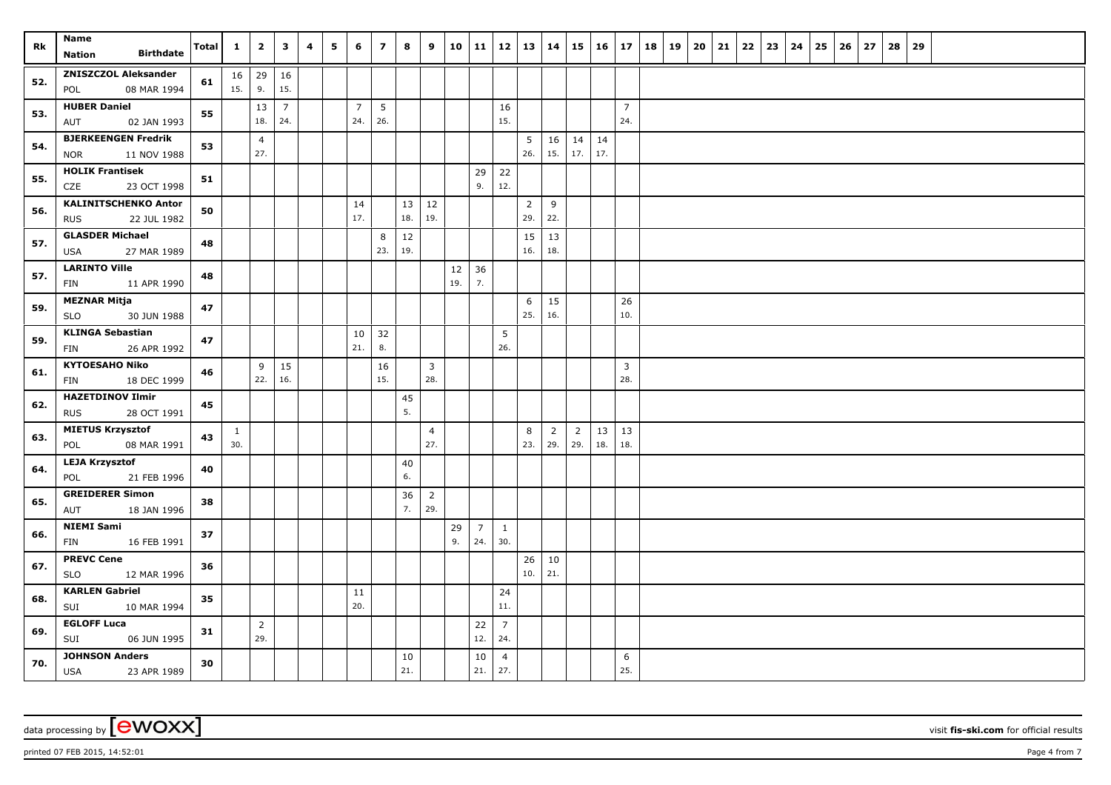| Rk  | Name<br><b>Birthdate</b><br><b>Nation</b>            | Total | $\mathbf{1}$ | $\overline{2}$        | $\overline{\mathbf{3}}$ | 4 | 5 | 6              | $\overline{7}$  | 8            | 9                     | 10  | 11          | 12                    | 13             | 14             |                | 15 16      | 17             | 18 | 19 | 20 | 21 | 22 | 23 | 24 | 25 | 26 | 27 | 28 | 29 |  |  |  |
|-----|------------------------------------------------------|-------|--------------|-----------------------|-------------------------|---|---|----------------|-----------------|--------------|-----------------------|-----|-------------|-----------------------|----------------|----------------|----------------|------------|----------------|----|----|----|----|----|----|----|----|----|----|----|----|--|--|--|
|     | <b>ZNISZCZOL Aleksander</b>                          |       |              | $16 \mid 29$          | 16                      |   |   |                |                 |              |                       |     |             |                       |                |                |                |            |                |    |    |    |    |    |    |    |    |    |    |    |    |  |  |  |
| 52. | 08 MAR 1994<br>POL                                   | 61    | 15.          | 9.                    | 15.                     |   |   |                |                 |              |                       |     |             |                       |                |                |                |            |                |    |    |    |    |    |    |    |    |    |    |    |    |  |  |  |
| 53. | <b>HUBER Daniel</b>                                  | 55    |              | 13                    | $\overline{7}$          |   |   | $\overline{7}$ | $5\phantom{.0}$ |              |                       |     |             | 16                    |                |                |                |            | $\overline{7}$ |    |    |    |    |    |    |    |    |    |    |    |    |  |  |  |
|     | 02 JAN 1993<br>AUT                                   |       |              | 18.                   | 24.                     |   |   | 24.            | 26.             |              |                       |     |             | 15.                   |                |                |                |            | 24.            |    |    |    |    |    |    |    |    |    |    |    |    |  |  |  |
| 54. | <b>BJERKEENGEN Fredrik</b>                           | 53    |              | $\overline{4}$<br>27. |                         |   |   |                |                 |              |                       |     |             |                       | 5<br>26.       | 16             | $14 \mid 14$   | 17.        |                |    |    |    |    |    |    |    |    |    |    |    |    |  |  |  |
|     | 11 NOV 1988<br><b>NOR</b><br><b>HOLIK Frantisek</b>  |       |              |                       |                         |   |   |                |                 |              |                       |     | 29          | 22                    |                | 15.            | 17.            |            |                |    |    |    |    |    |    |    |    |    |    |    |    |  |  |  |
| 55. | CZE<br>23 OCT 1998                                   | 51    |              |                       |                         |   |   |                |                 |              |                       |     | 9.          | 12.                   |                |                |                |            |                |    |    |    |    |    |    |    |    |    |    |    |    |  |  |  |
| 56. | <b>KALINITSCHENKO Anton</b>                          | 50    |              |                       |                         |   |   | 14             |                 | $13 \mid 12$ |                       |     |             |                       | $\overline{2}$ | 9              |                |            |                |    |    |    |    |    |    |    |    |    |    |    |    |  |  |  |
|     | 22 JUL 1982<br><b>RUS</b>                            |       |              |                       |                         |   |   | 17.            |                 | 18.          | 19.                   |     |             |                       | 29.            | 22.            |                |            |                |    |    |    |    |    |    |    |    |    |    |    |    |  |  |  |
| 57. | <b>GLASDER Michael</b><br>USA<br>27 MAR 1989         | 48    |              |                       |                         |   |   |                | 8<br>23.        | 12<br>19.    |                       |     |             |                       | 15<br>16.      | 13<br>18.      |                |            |                |    |    |    |    |    |    |    |    |    |    |    |    |  |  |  |
| 57. | <b>LARINTO Ville</b>                                 | 48    |              |                       |                         |   |   |                |                 |              |                       | 12  | 36          |                       |                |                |                |            |                |    |    |    |    |    |    |    |    |    |    |    |    |  |  |  |
|     | 11 APR 1990<br><b>FIN</b>                            |       |              |                       |                         |   |   |                |                 |              |                       | 19. | 7.          |                       |                |                |                |            |                |    |    |    |    |    |    |    |    |    |    |    |    |  |  |  |
| 59. | <b>MEZNAR Mitja</b><br>30 JUN 1988<br><b>SLO</b>     | 47    |              |                       |                         |   |   |                |                 |              |                       |     |             |                       | 6<br>25.       | 15<br>16.      |                |            | 26<br>10.      |    |    |    |    |    |    |    |    |    |    |    |    |  |  |  |
|     | <b>KLINGA Sebastian</b>                              |       |              |                       |                         |   |   | 10             | 32              |              |                       |     |             | 5                     |                |                |                |            |                |    |    |    |    |    |    |    |    |    |    |    |    |  |  |  |
| 59. | 26 APR 1992<br><b>FIN</b>                            | 47    |              |                       |                         |   |   | 21.            | 8.              |              |                       |     |             | 26.                   |                |                |                |            |                |    |    |    |    |    |    |    |    |    |    |    |    |  |  |  |
| 61. | <b>KYTOESAHO Niko</b>                                | 46    |              | 9                     | 15                      |   |   |                | 16              |              | $\mathbf{3}$          |     |             |                       |                |                |                |            | $\mathbf{3}$   |    |    |    |    |    |    |    |    |    |    |    |    |  |  |  |
|     | 18 DEC 1999<br><b>FIN</b>                            |       |              | 22.                   | 16.                     |   |   |                | 15.             |              | 28.                   |     |             |                       |                |                |                |            | 28.            |    |    |    |    |    |    |    |    |    |    |    |    |  |  |  |
| 62. | <b>HAZETDINOV Ilmir</b><br><b>RUS</b><br>28 OCT 1991 | 45    |              |                       |                         |   |   |                |                 | 45<br>5.     |                       |     |             |                       |                |                |                |            |                |    |    |    |    |    |    |    |    |    |    |    |    |  |  |  |
|     | <b>MIETUS Krzysztof</b>                              |       | $\mathbf{1}$ |                       |                         |   |   |                |                 |              | $\overline{4}$        |     |             |                       | 8              | $\overline{2}$ | $\overline{2}$ | $\vert$ 13 | 13             |    |    |    |    |    |    |    |    |    |    |    |    |  |  |  |
| 63. | 08 MAR 1991<br>POL                                   | 43    | 30.          |                       |                         |   |   |                |                 |              | 27.                   |     |             |                       | 23.            | 29.            | 29.            | 18.        | 18.            |    |    |    |    |    |    |    |    |    |    |    |    |  |  |  |
| 64. | <b>LEJA Krzysztof</b>                                | 40    |              |                       |                         |   |   |                |                 | 40           |                       |     |             |                       |                |                |                |            |                |    |    |    |    |    |    |    |    |    |    |    |    |  |  |  |
|     | 21 FEB 1996<br>POL                                   |       |              |                       |                         |   |   |                |                 | 6.           |                       |     |             |                       |                |                |                |            |                |    |    |    |    |    |    |    |    |    |    |    |    |  |  |  |
| 65. | <b>GREIDERER Simon</b><br>18 JAN 1996<br>AUT         | 38    |              |                       |                         |   |   |                |                 | 36<br>7.     | $\overline{2}$<br>29. |     |             |                       |                |                |                |            |                |    |    |    |    |    |    |    |    |    |    |    |    |  |  |  |
|     | <b>NIEMI Sami</b>                                    |       |              |                       |                         |   |   |                |                 |              |                       | 29  | $7^{\circ}$ | $\mathbf{1}$          |                |                |                |            |                |    |    |    |    |    |    |    |    |    |    |    |    |  |  |  |
| 66. | 16 FEB 1991<br>FIN                                   | 37    |              |                       |                         |   |   |                |                 |              |                       | 9.  | 24.         | 30.                   |                |                |                |            |                |    |    |    |    |    |    |    |    |    |    |    |    |  |  |  |
| 67. | <b>PREVC Cene</b><br><b>SLO</b><br>12 MAR 1996       | 36    |              |                       |                         |   |   |                |                 |              |                       |     |             |                       | 26<br>$10.$    | $10\,$<br>21.  |                |            |                |    |    |    |    |    |    |    |    |    |    |    |    |  |  |  |
|     | <b>KARLEN Gabriel</b>                                |       |              |                       |                         |   |   | 11             |                 |              |                       |     |             | 24                    |                |                |                |            |                |    |    |    |    |    |    |    |    |    |    |    |    |  |  |  |
| 68. | SUI<br>10 MAR 1994                                   | 35    |              |                       |                         |   |   | 20.            |                 |              |                       |     |             | 11.                   |                |                |                |            |                |    |    |    |    |    |    |    |    |    |    |    |    |  |  |  |
| 69. | <b>EGLOFF Luca</b>                                   | 31    |              | $\overline{2}$        |                         |   |   |                |                 |              |                       |     | 22          | $\overline{7}$        |                |                |                |            |                |    |    |    |    |    |    |    |    |    |    |    |    |  |  |  |
|     | SUI<br>06 JUN 1995                                   |       |              | 29.                   |                         |   |   |                |                 |              |                       |     | 12.         | 24.                   |                |                |                |            |                |    |    |    |    |    |    |    |    |    |    |    |    |  |  |  |
| 70. | <b>JOHNSON Anders</b><br><b>USA</b><br>23 APR 1989   | 30    |              |                       |                         |   |   |                |                 | 10<br>21.    |                       |     | 10<br>21.   | $\overline{4}$<br>27. |                |                |                |            | 6<br>25.       |    |    |    |    |    |    |    |    |    |    |    |    |  |  |  |

printed 07 FEB 2015, 14:52:01 **Page 4** from 7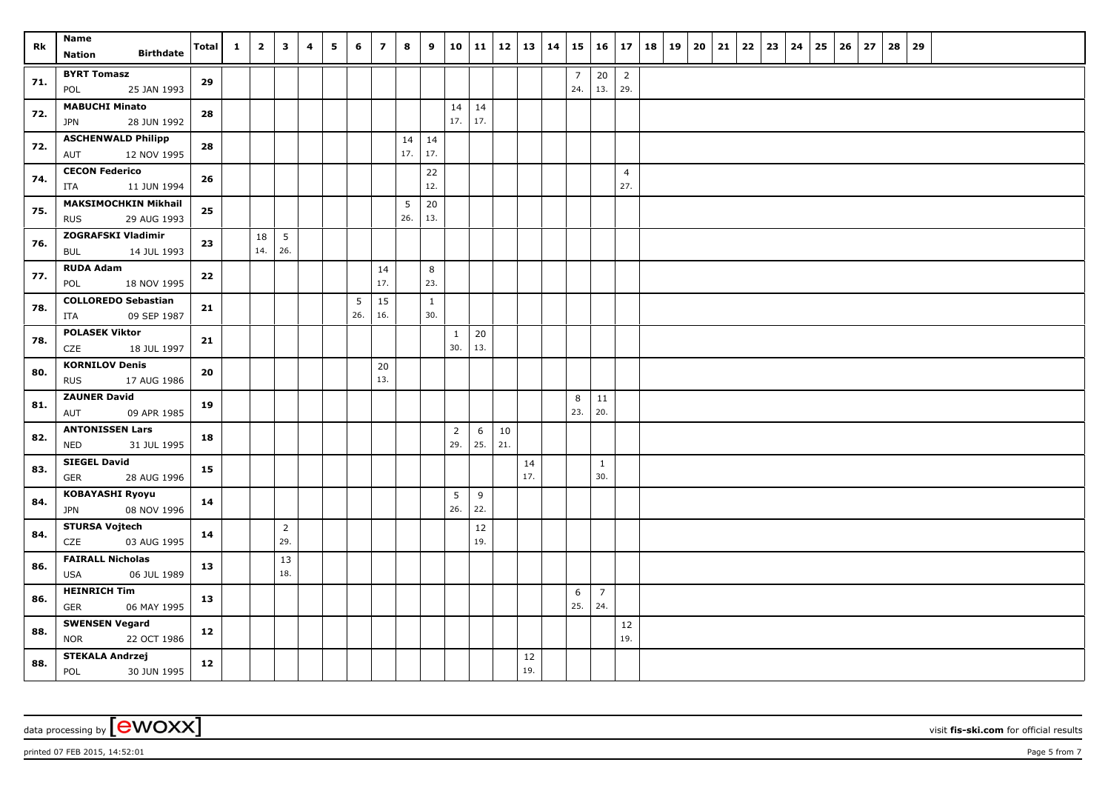| Rk  | Name<br><b>Birthdate</b><br>Nation                 | Total      | $\mathbf{1}$ | $\overline{2}$ | $\mathbf{3}$    | 4 | 5 | 6   | $\overline{7}$ | 8               | 9            | 10             | 11  |     | $12 \mid 13 \mid$ | 14 |                | $15 \mid 16 \mid$ | 17                    | 18 | 19   20 | 21 | 22 | 23 | 24 | 25 | 26 | 27 | 28 | 29 |  |  |  |
|-----|----------------------------------------------------|------------|--------------|----------------|-----------------|---|---|-----|----------------|-----------------|--------------|----------------|-----|-----|-------------------|----|----------------|-------------------|-----------------------|----|---------|----|----|----|----|----|----|----|----|----|--|--|--|
|     | <b>BYRT Tomasz</b>                                 |            |              |                |                 |   |   |     |                |                 |              |                |     |     |                   |    | $\overline{7}$ | 20                | $\overline{2}$        |    |         |    |    |    |    |    |    |    |    |    |  |  |  |
| 71. | 25 JAN 1993<br>POL                                 | 29         |              |                |                 |   |   |     |                |                 |              |                |     |     |                   |    | 24.            | 13.               | 29.                   |    |         |    |    |    |    |    |    |    |    |    |  |  |  |
| 72. | <b>MABUCHI Minato</b>                              | 28         |              |                |                 |   |   |     |                |                 |              | 14             | 14  |     |                   |    |                |                   |                       |    |         |    |    |    |    |    |    |    |    |    |  |  |  |
|     | 28 JUN 1992<br><b>JPN</b>                          |            |              |                |                 |   |   |     |                |                 |              | 17.            | 17. |     |                   |    |                |                   |                       |    |         |    |    |    |    |    |    |    |    |    |  |  |  |
| 72. | <b>ASCHENWALD Philipp</b>                          | 28         |              |                |                 |   |   |     |                | $14 \mid 14$    |              |                |     |     |                   |    |                |                   |                       |    |         |    |    |    |    |    |    |    |    |    |  |  |  |
|     | 12 NOV 1995<br>AUT                                 |            |              |                |                 |   |   |     |                | 17.             | 17.          |                |     |     |                   |    |                |                   |                       |    |         |    |    |    |    |    |    |    |    |    |  |  |  |
| 74. | <b>CECON Federico</b><br>11 JUN 1994<br>ITA        | 26         |              |                |                 |   |   |     |                |                 | 22<br>12.    |                |     |     |                   |    |                |                   | $\overline{4}$<br>27. |    |         |    |    |    |    |    |    |    |    |    |  |  |  |
|     | <b>MAKSIMOCHKIN Mikhail</b>                        |            |              |                |                 |   |   |     |                | $5\phantom{.0}$ | 20           |                |     |     |                   |    |                |                   |                       |    |         |    |    |    |    |    |    |    |    |    |  |  |  |
| 75. | 29 AUG 1993<br><b>RUS</b>                          | 25         |              |                |                 |   |   |     |                | 26.             | 13.          |                |     |     |                   |    |                |                   |                       |    |         |    |    |    |    |    |    |    |    |    |  |  |  |
| 76. | <b>ZOGRAFSKI Vladimir</b>                          | 23         |              | 18             | $5\phantom{.0}$ |   |   |     |                |                 |              |                |     |     |                   |    |                |                   |                       |    |         |    |    |    |    |    |    |    |    |    |  |  |  |
|     | 14 JUL 1993<br>BUL                                 |            |              | 14.            | 26.             |   |   |     |                |                 |              |                |     |     |                   |    |                |                   |                       |    |         |    |    |    |    |    |    |    |    |    |  |  |  |
| 77. | <b>RUDA Adam</b><br>18 NOV 1995<br>POL             | 22         |              |                |                 |   |   |     | 14<br>17.      |                 | 8<br>23.     |                |     |     |                   |    |                |                   |                       |    |         |    |    |    |    |    |    |    |    |    |  |  |  |
|     | <b>COLLOREDO Sebastian</b>                         |            |              |                |                 |   |   | 5   | 15             |                 | $\mathbf{1}$ |                |     |     |                   |    |                |                   |                       |    |         |    |    |    |    |    |    |    |    |    |  |  |  |
| 78. | 09 SEP 1987<br>ITA                                 | 21         |              |                |                 |   |   | 26. | 16.            |                 | 30.          |                |     |     |                   |    |                |                   |                       |    |         |    |    |    |    |    |    |    |    |    |  |  |  |
| 78. | <b>POLASEK Viktor</b>                              | 21         |              |                |                 |   |   |     |                |                 |              | $\mathbf{1}$   | 20  |     |                   |    |                |                   |                       |    |         |    |    |    |    |    |    |    |    |    |  |  |  |
|     | CZE<br>18 JUL 1997                                 |            |              |                |                 |   |   |     |                |                 |              | 30.            | 13. |     |                   |    |                |                   |                       |    |         |    |    |    |    |    |    |    |    |    |  |  |  |
| 80. | <b>KORNILOV Denis</b><br><b>RUS</b><br>17 AUG 1986 | ${\bf 20}$ |              |                |                 |   |   |     | 20<br>13.      |                 |              |                |     |     |                   |    |                |                   |                       |    |         |    |    |    |    |    |    |    |    |    |  |  |  |
|     | <b>ZAUNER David</b>                                |            |              |                |                 |   |   |     |                |                 |              |                |     |     |                   |    | 8              | 11                |                       |    |         |    |    |    |    |    |    |    |    |    |  |  |  |
| 81. | 09 APR 1985<br>AUT                                 | 19         |              |                |                 |   |   |     |                |                 |              |                |     |     |                   |    | 23.            | 20.               |                       |    |         |    |    |    |    |    |    |    |    |    |  |  |  |
| 82. | <b>ANTONISSEN Lars</b>                             | 18         |              |                |                 |   |   |     |                |                 |              | $\overline{2}$ | 6   | 10  |                   |    |                |                   |                       |    |         |    |    |    |    |    |    |    |    |    |  |  |  |
|     | <b>NED</b><br>31 JUL 1995                          |            |              |                |                 |   |   |     |                |                 |              | 29.            | 25. | 21. |                   |    |                |                   |                       |    |         |    |    |    |    |    |    |    |    |    |  |  |  |
| 83. | <b>SIEGEL David</b><br><b>GER</b><br>28 AUG 1996   | 15         |              |                |                 |   |   |     |                |                 |              |                |     |     | 14<br>17.         |    |                | $1\,$<br>30.      |                       |    |         |    |    |    |    |    |    |    |    |    |  |  |  |
|     | <b>KOBAYASHI Ryoyu</b>                             |            |              |                |                 |   |   |     |                |                 |              | $\overline{5}$ | 9   |     |                   |    |                |                   |                       |    |         |    |    |    |    |    |    |    |    |    |  |  |  |
| 84. | 08 NOV 1996<br><b>JPN</b>                          | 14         |              |                |                 |   |   |     |                |                 |              | 26.            | 22. |     |                   |    |                |                   |                       |    |         |    |    |    |    |    |    |    |    |    |  |  |  |
| 84. | <b>STURSA Vojtech</b>                              | 14         |              |                | $\overline{2}$  |   |   |     |                |                 |              |                | 12  |     |                   |    |                |                   |                       |    |         |    |    |    |    |    |    |    |    |    |  |  |  |
|     | CZE<br>03 AUG 1995                                 |            |              |                | 29.             |   |   |     |                |                 |              |                | 19. |     |                   |    |                |                   |                       |    |         |    |    |    |    |    |    |    |    |    |  |  |  |
| 86. | <b>FAIRALL Nicholas</b><br>USA<br>06 JUL 1989      | 13         |              |                | 13<br>18.       |   |   |     |                |                 |              |                |     |     |                   |    |                |                   |                       |    |         |    |    |    |    |    |    |    |    |    |  |  |  |
| 86. | <b>HEINRICH Tim</b>                                | 13         |              |                |                 |   |   |     |                |                 |              |                |     |     |                   |    | 6              | $\overline{7}$    |                       |    |         |    |    |    |    |    |    |    |    |    |  |  |  |
|     | <b>GER</b><br>06 MAY 1995                          |            |              |                |                 |   |   |     |                |                 |              |                |     |     |                   |    | 25.            | 24.               |                       |    |         |    |    |    |    |    |    |    |    |    |  |  |  |
| 88. | <b>SWENSEN Vegard</b><br>22 OCT 1986<br><b>NOR</b> | 12         |              |                |                 |   |   |     |                |                 |              |                |     |     |                   |    |                |                   | $12\,$<br>19.         |    |         |    |    |    |    |    |    |    |    |    |  |  |  |
|     | <b>STEKALA Andrzej</b>                             |            |              |                |                 |   |   |     |                |                 |              |                |     |     | 12                |    |                |                   |                       |    |         |    |    |    |    |    |    |    |    |    |  |  |  |
| 88. | POL<br>30 JUN 1995                                 | 12         |              |                |                 |   |   |     |                |                 |              |                |     |     | 19.               |    |                |                   |                       |    |         |    |    |    |    |    |    |    |    |    |  |  |  |

printed 07 FEB 2015, 14:52:01 **Page 5** from 7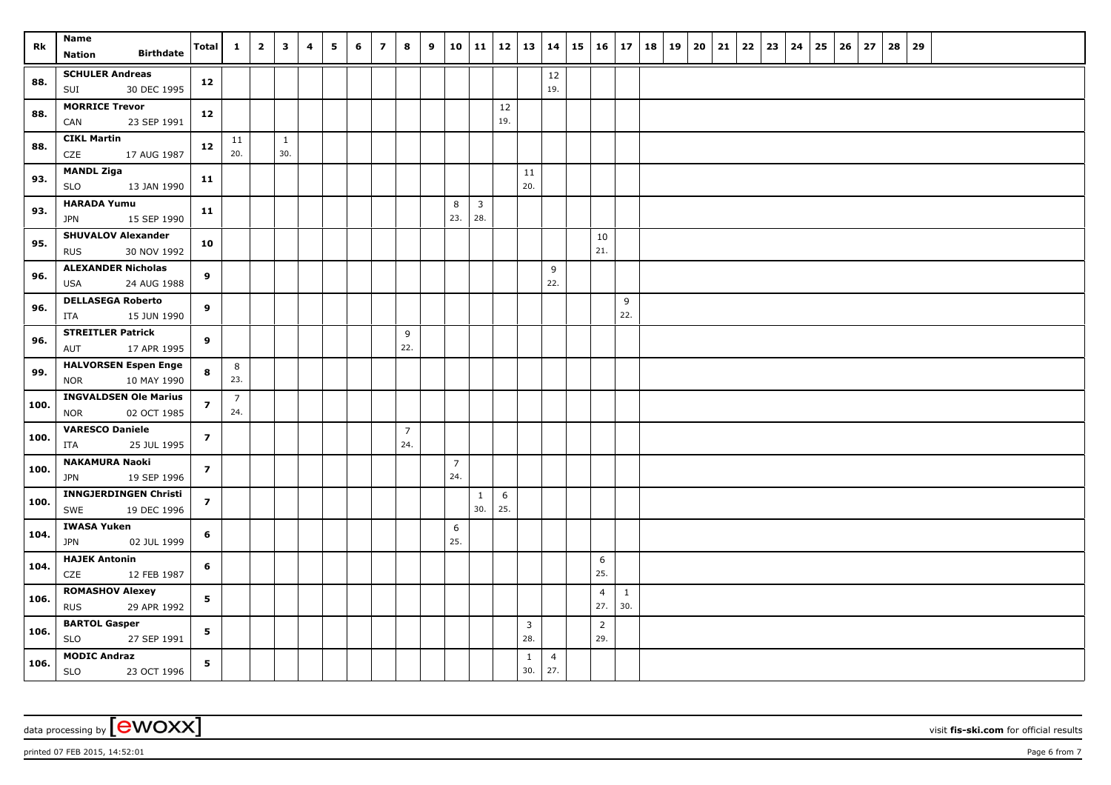| Rk   | Name<br><b>Birthdate</b><br>Nation                    | Total                   | $\mathbf{1}$   | $\overline{2}$ | $\mathbf{3}$ | 4 | 5 | 6 | $\overline{\mathbf{z}}$ | 8                     | 9 | 10                    | 11                    |     | 12   13               | 14             | $15 \mid 16 \mid 17$  |              | 18 | 19 | 20 | 21 | 22 | 23 | 24 | 25 | 26 | 27 | 28 | 29 |  |  |  |
|------|-------------------------------------------------------|-------------------------|----------------|----------------|--------------|---|---|---|-------------------------|-----------------------|---|-----------------------|-----------------------|-----|-----------------------|----------------|-----------------------|--------------|----|----|----|----|----|----|----|----|----|----|----|----|--|--|--|
|      | <b>SCHULER Andreas</b>                                |                         |                |                |              |   |   |   |                         |                       |   |                       |                       |     |                       | $12\,$         |                       |              |    |    |    |    |    |    |    |    |    |    |    |    |  |  |  |
| 88.  | 30 DEC 1995<br>SUI                                    | 12                      |                |                |              |   |   |   |                         |                       |   |                       |                       |     |                       | 19.            |                       |              |    |    |    |    |    |    |    |    |    |    |    |    |  |  |  |
|      | <b>MORRICE Trevor</b>                                 |                         |                |                |              |   |   |   |                         |                       |   |                       |                       | 12  |                       |                |                       |              |    |    |    |    |    |    |    |    |    |    |    |    |  |  |  |
| 88.  | 23 SEP 1991<br>CAN                                    | 12                      |                |                |              |   |   |   |                         |                       |   |                       |                       | 19. |                       |                |                       |              |    |    |    |    |    |    |    |    |    |    |    |    |  |  |  |
| 88.  | <b>CIKL Martin</b>                                    | 12                      | 11             |                | $\mathbf{1}$ |   |   |   |                         |                       |   |                       |                       |     |                       |                |                       |              |    |    |    |    |    |    |    |    |    |    |    |    |  |  |  |
|      | CZE<br>17 AUG 1987                                    |                         | 20.            |                | 30.          |   |   |   |                         |                       |   |                       |                       |     |                       |                |                       |              |    |    |    |    |    |    |    |    |    |    |    |    |  |  |  |
| 93.  | <b>MANDL Ziga</b>                                     | 11                      |                |                |              |   |   |   |                         |                       |   |                       |                       |     | 11                    |                |                       |              |    |    |    |    |    |    |    |    |    |    |    |    |  |  |  |
|      | 13 JAN 1990<br>SLO<br><b>HARADA Yumu</b>              |                         |                |                |              |   |   |   |                         |                       |   |                       |                       |     | 20.                   |                |                       |              |    |    |    |    |    |    |    |    |    |    |    |    |  |  |  |
| 93.  | 15 SEP 1990<br><b>JPN</b>                             | 11                      |                |                |              |   |   |   |                         |                       |   | 8<br>23.              | $\overline{3}$<br>28. |     |                       |                |                       |              |    |    |    |    |    |    |    |    |    |    |    |    |  |  |  |
| 95.  | <b>SHUVALOV Alexander</b>                             | 10                      |                |                |              |   |   |   |                         |                       |   |                       |                       |     |                       |                | 10                    |              |    |    |    |    |    |    |    |    |    |    |    |    |  |  |  |
|      | 30 NOV 1992<br><b>RUS</b>                             |                         |                |                |              |   |   |   |                         |                       |   |                       |                       |     |                       |                | 21.                   |              |    |    |    |    |    |    |    |    |    |    |    |    |  |  |  |
| 96.  | <b>ALEXANDER Nicholas</b>                             | 9                       |                |                |              |   |   |   |                         |                       |   |                       |                       |     |                       | 9<br>22.       |                       |              |    |    |    |    |    |    |    |    |    |    |    |    |  |  |  |
|      | 24 AUG 1988<br><b>USA</b><br><b>DELLASEGA Roberto</b> |                         |                |                |              |   |   |   |                         |                       |   |                       |                       |     |                       |                |                       |              |    |    |    |    |    |    |    |    |    |    |    |    |  |  |  |
| 96.  | 15 JUN 1990<br>ITA                                    | 9                       |                |                |              |   |   |   |                         |                       |   |                       |                       |     |                       |                |                       | 9<br>22.     |    |    |    |    |    |    |    |    |    |    |    |    |  |  |  |
|      | <b>STREITLER Patrick</b>                              |                         |                |                |              |   |   |   |                         | 9                     |   |                       |                       |     |                       |                |                       |              |    |    |    |    |    |    |    |    |    |    |    |    |  |  |  |
| 96.  | 17 APR 1995<br>AUT                                    | 9                       |                |                |              |   |   |   |                         | 22.                   |   |                       |                       |     |                       |                |                       |              |    |    |    |    |    |    |    |    |    |    |    |    |  |  |  |
| 99.  | <b>HALVORSEN Espen Enge</b>                           | 8                       | 8              |                |              |   |   |   |                         |                       |   |                       |                       |     |                       |                |                       |              |    |    |    |    |    |    |    |    |    |    |    |    |  |  |  |
|      | 10 MAY 1990<br>NOR                                    |                         | 23.            |                |              |   |   |   |                         |                       |   |                       |                       |     |                       |                |                       |              |    |    |    |    |    |    |    |    |    |    |    |    |  |  |  |
| 100. | <b>INGVALDSEN Ole Marius</b>                          | $\overline{\mathbf{z}}$ | $\overline{7}$ |                |              |   |   |   |                         |                       |   |                       |                       |     |                       |                |                       |              |    |    |    |    |    |    |    |    |    |    |    |    |  |  |  |
|      | <b>NOR</b><br>02 OCT 1985                             |                         | 24.            |                |              |   |   |   |                         |                       |   |                       |                       |     |                       |                |                       |              |    |    |    |    |    |    |    |    |    |    |    |    |  |  |  |
| 100. | <b>VARESCO Daniele</b><br>25 JUL 1995                 | $\overline{z}$          |                |                |              |   |   |   |                         | $\overline{7}$<br>24. |   |                       |                       |     |                       |                |                       |              |    |    |    |    |    |    |    |    |    |    |    |    |  |  |  |
|      | ITA<br><b>NAKAMURA Naoki</b>                          |                         |                |                |              |   |   |   |                         |                       |   |                       |                       |     |                       |                |                       |              |    |    |    |    |    |    |    |    |    |    |    |    |  |  |  |
| 100. | 19 SEP 1996<br><b>JPN</b>                             | $\overline{7}$          |                |                |              |   |   |   |                         |                       |   | $\overline{7}$<br>24. |                       |     |                       |                |                       |              |    |    |    |    |    |    |    |    |    |    |    |    |  |  |  |
| 100. | <b>INNGJERDINGEN Christi</b>                          | $\overline{\mathbf{z}}$ |                |                |              |   |   |   |                         |                       |   |                       | $\mathbf{1}$          | 6   |                       |                |                       |              |    |    |    |    |    |    |    |    |    |    |    |    |  |  |  |
|      | SWE<br>19 DEC 1996                                    |                         |                |                |              |   |   |   |                         |                       |   |                       | 30.                   | 25. |                       |                |                       |              |    |    |    |    |    |    |    |    |    |    |    |    |  |  |  |
| 104. | <b>IWASA Yuken</b><br>02 JUL 1999<br>JPN              | 6                       |                |                |              |   |   |   |                         |                       |   | 6<br>25.              |                       |     |                       |                |                       |              |    |    |    |    |    |    |    |    |    |    |    |    |  |  |  |
| 104. | <b>HAJEK Antonin</b>                                  | 6                       |                |                |              |   |   |   |                         |                       |   |                       |                       |     |                       |                | 6                     |              |    |    |    |    |    |    |    |    |    |    |    |    |  |  |  |
|      | CZE<br>12 FEB 1987                                    |                         |                |                |              |   |   |   |                         |                       |   |                       |                       |     |                       |                | 25.                   |              |    |    |    |    |    |    |    |    |    |    |    |    |  |  |  |
| 106. | <b>ROMASHOV Alexey</b>                                | 5                       |                |                |              |   |   |   |                         |                       |   |                       |                       |     |                       |                | $\overline{4}$        | $\mathbf{1}$ |    |    |    |    |    |    |    |    |    |    |    |    |  |  |  |
|      | <b>RUS</b><br>29 APR 1992                             |                         |                |                |              |   |   |   |                         |                       |   |                       |                       |     |                       |                | 27.                   | 30.          |    |    |    |    |    |    |    |    |    |    |    |    |  |  |  |
| 106. | <b>BARTOL Gasper</b><br>SLO<br>27 SEP 1991            | 5                       |                |                |              |   |   |   |                         |                       |   |                       |                       |     | $\overline{3}$<br>28. |                | $\overline{2}$<br>29. |              |    |    |    |    |    |    |    |    |    |    |    |    |  |  |  |
|      | <b>MODIC Andraz</b>                                   | 5                       |                |                |              |   |   |   |                         |                       |   |                       |                       |     | $\mathbf{1}$          | $\overline{4}$ |                       |              |    |    |    |    |    |    |    |    |    |    |    |    |  |  |  |
| 106. | SLO<br>23 OCT 1996                                    |                         |                |                |              |   |   |   |                         |                       |   |                       |                       |     | 30.                   | 27.            |                       |              |    |    |    |    |    |    |    |    |    |    |    |    |  |  |  |

data processing by **CWOXX** visit fis-ski.com for official results

printed 07 FEB 2015, 14:52:01 **Page 6** from 7